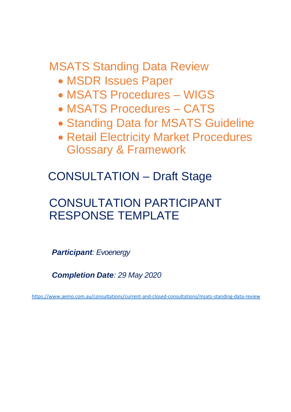MSATS Standing Data Review

- MSDR Issues Paper
- MSATS Procedures WIGS
- MSATS Procedures CATS
- Standing Data for MSATS Guideline
- **Retail Electricity Market Procedures** Glossary & Framework

CONSULTATION – Draft Stage

# CONSULTATION PARTICIPANT RESPONSE TEMPLATE

*Participant: Evoenergy*

*Completion Date: 29 May 2020*

<https://www.aemo.com.au/consultations/current-and-closed-consultations/msats-standing-data-review>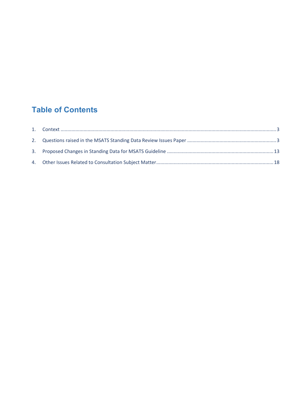# **Table of Contents**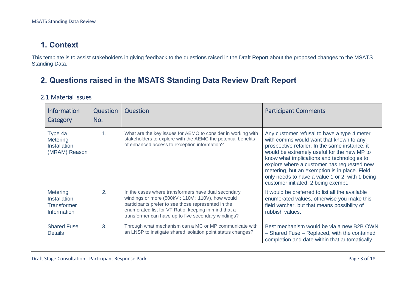# **1. Context**

This template is to assist stakeholders in giving feedback to the questions raised in the Draft Report about the proposed changes to the MSATS Standing Data.

## **2. Questions raised in the MSATS Standing Data Review Draft Report**

#### 2.1 Material Issues

<span id="page-2-1"></span><span id="page-2-0"></span>

| <b>Information</b><br>Category                                              | Question<br>No. | Question                                                                                                                                                                                                                                                                     | <b>Participant Comments</b>                                                                                                                                                                                                                                                                                                                                                                                                    |
|-----------------------------------------------------------------------------|-----------------|------------------------------------------------------------------------------------------------------------------------------------------------------------------------------------------------------------------------------------------------------------------------------|--------------------------------------------------------------------------------------------------------------------------------------------------------------------------------------------------------------------------------------------------------------------------------------------------------------------------------------------------------------------------------------------------------------------------------|
| Type 4a<br>Metering<br><b>Installation</b><br>(MRAM) Reason                 | 1.              | What are the key issues for AEMO to consider in working with<br>stakeholders to explore with the AEMC the potential benefits<br>of enhanced access to exception information?                                                                                                 | Any customer refusal to have a type 4 meter<br>with comms would want that known to any<br>prospective retailer. In the same instance, it<br>would be extremely useful for the new MP to<br>know what implications and technologies to<br>explore where a customer has requested new<br>metering, but an exemption is in place. Field<br>only needs to have a value 1 or 2, with 1 being<br>customer initiated, 2 being exempt. |
| <b>Metering</b><br><b>Installation</b><br><b>Transformer</b><br>Information | 2.              | In the cases where transformers have dual secondary<br>windings or more (500kV: 110V: 110V), how would<br>participants prefer to see those represented in the<br>enumerated list for VT Ratio, keeping in mind that a<br>transformer can have up to five secondary windings? | It would be preferred to list all the available<br>enumerated values, otherwise you make this<br>field varchar, but that means possibility of<br>rubbish values.                                                                                                                                                                                                                                                               |
| <b>Shared Fuse</b><br><b>Details</b>                                        | 3.              | Through what mechanism can a MC or MP communicate with<br>an LNSP to instigate shared isolation point status changes?                                                                                                                                                        | Best mechanism would be via a new B2B OWN<br>- Shared Fuse - Replaced, with the contained<br>completion and date within that automatically                                                                                                                                                                                                                                                                                     |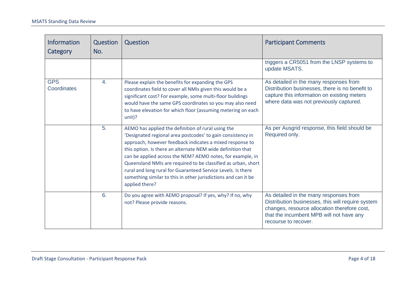| <b>Information</b><br>Category | Question<br>No. | Question                                                                                                                                                                                                                                                                                                                                                                                                                                                                                                                        | <b>Participant Comments</b>                                                                                                                                                                                     |
|--------------------------------|-----------------|---------------------------------------------------------------------------------------------------------------------------------------------------------------------------------------------------------------------------------------------------------------------------------------------------------------------------------------------------------------------------------------------------------------------------------------------------------------------------------------------------------------------------------|-----------------------------------------------------------------------------------------------------------------------------------------------------------------------------------------------------------------|
|                                |                 |                                                                                                                                                                                                                                                                                                                                                                                                                                                                                                                                 | triggers a CR5051 from the LNSP systems to<br>update MSATS.                                                                                                                                                     |
| <b>GPS</b><br>Coordinates      | 4.              | Please explain the benefits for expanding the GPS<br>coordinates field to cover all NMIs given this would be a<br>significant cost? For example, some multi-floor buildings<br>would have the same GPS coordinates so you may also need<br>to have elevation for which floor (assuming metering on each<br>unit)?                                                                                                                                                                                                               | As detailed in the many responses from<br>Distribution businesses, there is no benefit to<br>capture this information on existing meters<br>where data was not previously captured.                             |
|                                | 5.              | AEMO has applied the definition of rural using the<br>'Designated regional area postcodes' to gain consistency in<br>approach, however feedback indicates a mixed response to<br>this option. Is there an alternate NEM wide definition that<br>can be applied across the NEM? AEMO notes, for example, in<br>Queensland NMIs are required to be classified as urban, short<br>rural and long rural for Guaranteed Service Levels. Is there<br>something similar to this in other jurisdictions and can it be<br>applied there? | As per Ausgrid response, this field should be<br>Required only.                                                                                                                                                 |
|                                | 6.              | Do you agree with AEMO proposal? If yes, why? If no, why<br>not? Please provide reasons.                                                                                                                                                                                                                                                                                                                                                                                                                                        | As detailed in the many responses from<br>Distribution businesses, this will require system<br>changes, resource allocation therefore cost,<br>that the incumbent MPB will not have any<br>recourse to recover. |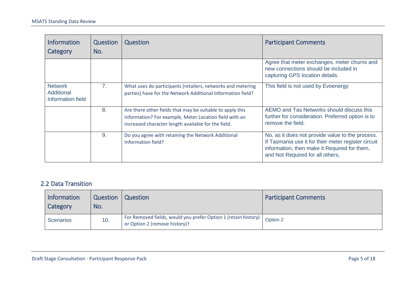| <b>Information</b><br>Category                    | Question<br>No. | Question                                                                                                                                                                   | <b>Participant Comments</b>                                                                                                                                                                 |
|---------------------------------------------------|-----------------|----------------------------------------------------------------------------------------------------------------------------------------------------------------------------|---------------------------------------------------------------------------------------------------------------------------------------------------------------------------------------------|
|                                                   |                 |                                                                                                                                                                            | Agree that meter exchanges, meter churns and<br>new connections should be included in<br>capturing GPS location details.                                                                    |
| <b>Network</b><br>Additional<br>Information field | 7 <sub>1</sub>  | What uses do participants (retailers, networks and metering<br>parties) have for the Network Additional Information field?                                                 | This field is not used by Evoenergy                                                                                                                                                         |
|                                                   | 8.              | Are there other fields that may be suitable to apply this<br>information? For example, Meter Location field with an<br>increased character length available for the field. | AEMO and Tas Networks should discuss this<br>further for consideration. Preferred option is to<br>remove the field.                                                                         |
|                                                   | 9.              | Do you agree with retaining the Network Additional<br>Information field?                                                                                                   | No, as it does not provide value to the process.<br>If Tasmania use it for their meter register circuit<br>information, then make it Required for them,<br>and Not Required for all others. |

#### 2.2 Data Transition

| Information<br>Category | <b>Question</b><br>No. | <b>Question</b>                                                                                            | <b>Participant Comments</b> |
|-------------------------|------------------------|------------------------------------------------------------------------------------------------------------|-----------------------------|
| Scenarios               | 10.                    | For Removed fields, would you prefer Option 1 (retain history)   Option 2<br>or Option 2 (remove history)? |                             |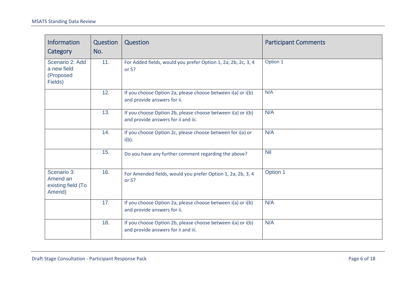| <b>Information</b><br>Category                          | Question<br>No. | Question                                                                                           | <b>Participant Comments</b> |
|---------------------------------------------------------|-----------------|----------------------------------------------------------------------------------------------------|-----------------------------|
| Scenario 2: Add<br>a new field<br>(Proposed<br>Fields)  | 11.             | For Added fields, would you prefer Option 1, 2a, 2b, 2c, 3, 4<br>or $5?$                           | Option 1                    |
|                                                         | 12.             | If you choose Option 2a, please choose between i(a) or i(b)<br>and provide answers for ii.         | N/A                         |
|                                                         | 13.             | If you choose Option 2b, please choose between i(a) or i(b)<br>and provide answers for ii and iii. | N/A                         |
|                                                         | 14.             | If you choose Option 2c, please choose between for i(a) or<br>$i(b)$ .                             | N/A                         |
|                                                         | 15.             | Do you have any further comment regarding the above?                                               | <b>Nil</b>                  |
| Scenario 3:<br>Amend an<br>existing field (To<br>Amend) | 16.             | For Amended fields, would you prefer Option 1, 2a, 2b, 3, 4<br>or $5?$                             | Option 1                    |
|                                                         | 17.             | If you choose Option 2a, please choose between i(a) or i(b)<br>and provide answers for ii.         | N/A                         |
|                                                         | 18.             | If you choose Option 2b, please choose between i(a) or i(b)<br>and provide answers for ii and iii. | N/A                         |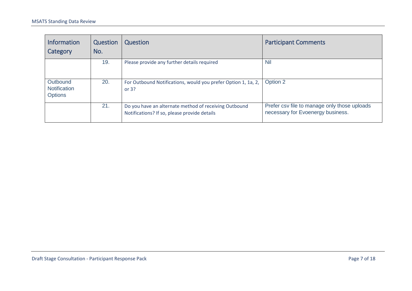| <b>Information</b><br>Category                    | Question<br>No. | Question                                                                                              | <b>Participant Comments</b>                                                       |
|---------------------------------------------------|-----------------|-------------------------------------------------------------------------------------------------------|-----------------------------------------------------------------------------------|
|                                                   | 19.             | Please provide any further details required                                                           | <b>Nil</b>                                                                        |
| Outbound<br><b>Notification</b><br><b>Options</b> | 20.             | For Outbound Notifications, would you prefer Option 1, 1a, 2,<br>or $3?$                              | Option 2                                                                          |
|                                                   | 21.             | Do you have an alternate method of receiving Outbound<br>Notifications? If so, please provide details | Prefer csv file to manage only those uploads<br>necessary for Evoenergy business. |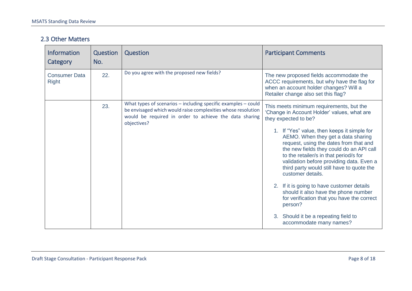#### 2.3 Other Matters

| <b>Information</b><br>Category       | Question<br>No. | Question                                                                                                                                                                                                   | <b>Participant Comments</b>                                                                                                                                                                                                                                                                                                                                                                                                                                                                                                                                                                                                                                          |
|--------------------------------------|-----------------|------------------------------------------------------------------------------------------------------------------------------------------------------------------------------------------------------------|----------------------------------------------------------------------------------------------------------------------------------------------------------------------------------------------------------------------------------------------------------------------------------------------------------------------------------------------------------------------------------------------------------------------------------------------------------------------------------------------------------------------------------------------------------------------------------------------------------------------------------------------------------------------|
| <b>Consumer Data</b><br><b>Right</b> | 22.             | Do you agree with the proposed new fields?                                                                                                                                                                 | The new proposed fields accommodate the<br>ACCC requirements, but why have the flag for<br>when an account holder changes? Will a<br>Retailer change also set this flag?                                                                                                                                                                                                                                                                                                                                                                                                                                                                                             |
|                                      | 23.             | What types of scenarios $-$ including specific examples $-$ could<br>be envisaged which would raise complexities whose resolution<br>would be required in order to achieve the data sharing<br>objectives? | This meets minimum requirements, but the<br>'Change in Account Holder' values, what are<br>they expected to be?<br>1. If "Yes" value, then keeps it simple for<br>AEMO. When they get a data sharing<br>request, using the dates from that and<br>the new fields they could do an API call<br>to the retailer/s in that period/s for<br>validation before providing data. Even a<br>third party would still have to quote the<br>customer details.<br>2. If it is going to have customer details<br>should it also have the phone number<br>for verification that you have the correct<br>person?<br>3. Should it be a repeating field to<br>accommodate many names? |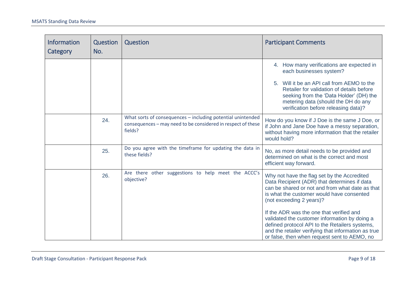| <b>Information</b><br>Category | Question<br>No. | Question                                                                                                                               | <b>Participant Comments</b>                                                                                                                                                                                                                                                               |
|--------------------------------|-----------------|----------------------------------------------------------------------------------------------------------------------------------------|-------------------------------------------------------------------------------------------------------------------------------------------------------------------------------------------------------------------------------------------------------------------------------------------|
|                                |                 |                                                                                                                                        | 4. How many verifications are expected in<br>each businesses system?<br>5. Will it be an API call from AEMO to the<br>Retailer for validation of details before<br>seeking from the 'Data Holder' (DH) the<br>metering data (should the DH do any<br>verification before releasing data)? |
|                                | 24.             | What sorts of consequences - including potential unintended<br>consequences - may need to be considered in respect of these<br>fields? | How do you know if J Doe is the same J Doe, or<br>if John and Jane Doe have a messy separation,<br>without having more information that the retailer<br>would hold?                                                                                                                       |
|                                | 25.             | Do you agree with the timeframe for updating the data in<br>these fields?                                                              | No, as more detail needs to be provided and<br>determined on what is the correct and most<br>efficient way forward.                                                                                                                                                                       |
|                                | 26.             | Are there other suggestions to help meet the ACCC's<br>objective?                                                                      | Why not have the flag set by the Accredited<br>Data Recipient (ADR) that determines if data<br>can be shared or not and from what date as that<br>is what the customer would have consented<br>(not exceeding 2 years)?                                                                   |
|                                |                 |                                                                                                                                        | If the ADR was the one that verified and<br>validated the customer information by doing a<br>defined protocol API to the Retailers systems,<br>and the retailer verifying that information as true<br>or false, then when request sent to AEMO, no                                        |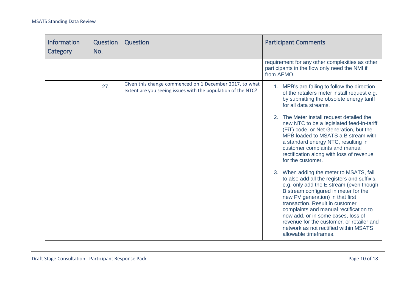| <b>Information</b><br>Category | Question<br>No. | Question                                                                                                                | <b>Participant Comments</b>                                                                                                                                                                                                                                                                                                                                                                                                                     |
|--------------------------------|-----------------|-------------------------------------------------------------------------------------------------------------------------|-------------------------------------------------------------------------------------------------------------------------------------------------------------------------------------------------------------------------------------------------------------------------------------------------------------------------------------------------------------------------------------------------------------------------------------------------|
|                                |                 |                                                                                                                         | requirement for any other complexities as other<br>participants in the flow only need the NMI if<br>from AEMO.                                                                                                                                                                                                                                                                                                                                  |
|                                | 27.             | Given this change commenced on 1 December 2017, to what<br>extent are you seeing issues with the population of the NTC? | 1. MPB's are failing to follow the direction<br>of the retailers meter install request e.g.<br>by submitting the obsolete energy tariff<br>for all data streams.                                                                                                                                                                                                                                                                                |
|                                |                 |                                                                                                                         | 2. The Meter install request detailed the<br>new NTC to be a legislated feed-in-tariff<br>(FiT) code, or Net Generation, but the<br>MPB loaded to MSATS a B stream with<br>a standard energy NTC, resulting in<br>customer complaints and manual<br>rectification along with loss of revenue<br>for the customer.                                                                                                                               |
|                                |                 |                                                                                                                         | 3. When adding the meter to MSATS, fail<br>to also add all the registers and suffix's,<br>e.g. only add the E stream (even though<br>B stream configured in meter for the<br>new PV generation) in that first<br>transaction. Result in customer<br>complaints and manual rectification to<br>now add, or in some cases, loss of<br>revenue for the customer, or retailer and<br>network as not rectified within MSATS<br>allowable timeframes. |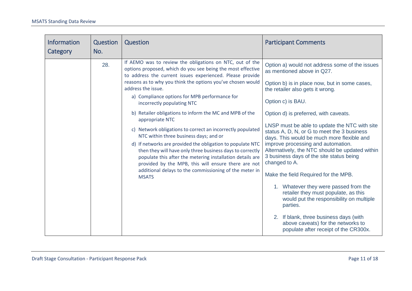| Information<br>Category | Question<br>No. | Question                                                                                                                                                                                                                                                                                                                                                                                                                                                                                                                                                                                                                                                                                                                                                                                                                                                                | <b>Participant Comments</b>                                                                                                                                                                                                                                                                                                                                                                                                                                                                                                                                                                                                                                                                                                                                    |
|-------------------------|-----------------|-------------------------------------------------------------------------------------------------------------------------------------------------------------------------------------------------------------------------------------------------------------------------------------------------------------------------------------------------------------------------------------------------------------------------------------------------------------------------------------------------------------------------------------------------------------------------------------------------------------------------------------------------------------------------------------------------------------------------------------------------------------------------------------------------------------------------------------------------------------------------|----------------------------------------------------------------------------------------------------------------------------------------------------------------------------------------------------------------------------------------------------------------------------------------------------------------------------------------------------------------------------------------------------------------------------------------------------------------------------------------------------------------------------------------------------------------------------------------------------------------------------------------------------------------------------------------------------------------------------------------------------------------|
|                         | 28.             | If AEMO was to review the obligations on NTC, out of the<br>options proposed, which do you see being the most effective<br>to address the current issues experienced. Please provide<br>reasons as to why you think the options you've chosen would<br>address the issue.<br>a) Compliance options for MPB performance for<br>incorrectly populating NTC<br>b) Retailer obligations to inform the MC and MPB of the<br>appropriate NTC<br>c) Network obligations to correct an incorrectly populated<br>NTC within three business days; and or<br>d) If networks are provided the obligation to populate NTC<br>then they will have only three business days to correctly<br>populate this after the metering installation details are<br>provided by the MPB, this will ensure there are not<br>additional delays to the commissioning of the meter in<br><b>MSATS</b> | Option a) would not address some of the issues<br>as mentioned above in Q27.<br>Option b) is in place now, but in some cases,<br>the retailer also gets it wrong.<br>Option c) is BAU.<br>Option d) is preferred, with caveats.<br>LNSP must be able to update the NTC with site<br>status A, D, N, or G to meet the 3 business<br>days. This would be much more flexible and<br>improve processing and automation.<br>Alternatively, the NTC should be updated within<br>3 business days of the site status being<br>changed to A.<br>Make the field Required for the MPB.<br>1. Whatever they were passed from the<br>retailer they must populate, as this<br>would put the responsibility on multiple<br>parties.<br>2. If blank, three business days (with |
|                         |                 |                                                                                                                                                                                                                                                                                                                                                                                                                                                                                                                                                                                                                                                                                                                                                                                                                                                                         | above caveats) for the networks to<br>populate after receipt of the CR300x.                                                                                                                                                                                                                                                                                                                                                                                                                                                                                                                                                                                                                                                                                    |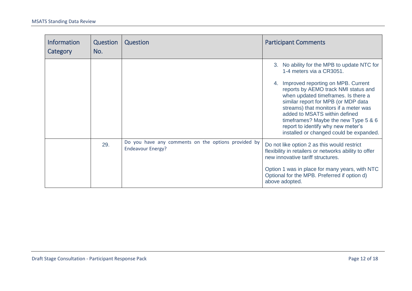<span id="page-11-0"></span>

| <b>Information</b><br>Category | Question<br>No. | Question                                                                        | <b>Participant Comments</b>                                                                                                                                                                                                                                                                                                                                                                                                                  |
|--------------------------------|-----------------|---------------------------------------------------------------------------------|----------------------------------------------------------------------------------------------------------------------------------------------------------------------------------------------------------------------------------------------------------------------------------------------------------------------------------------------------------------------------------------------------------------------------------------------|
|                                |                 |                                                                                 | 3. No ability for the MPB to update NTC for<br>1-4 meters via a CR3051.<br>Improved reporting on MPB. Current<br>4.<br>reports by AEMO track NMI status and<br>when updated timeframes. Is there a<br>similar report for MPB (or MDP data<br>streams) that monitors if a meter was<br>added to MSATS within defined<br>timeframes? Maybe the new Type 5 & 6<br>report to identify why new meter's<br>installed or changed could be expanded. |
|                                | 29.             | Do you have any comments on the options provided by<br><b>Endeavour Energy?</b> | Do not like option 2 as this would restrict<br>flexibility in retailers or networks ability to offer<br>new innovative tariff structures.<br>Option 1 was in place for many years, with NTC<br>Optional for the MPB. Preferred if option d)<br>above adopted.                                                                                                                                                                                |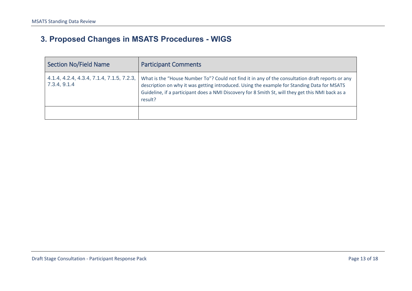# **3. Proposed Changes in MSATS Procedures - WIGS**

| <b>Section No/Field Name</b>                              | <b>Participant Comments</b>                                                                                                                                                                                                                                                                                     |
|-----------------------------------------------------------|-----------------------------------------------------------------------------------------------------------------------------------------------------------------------------------------------------------------------------------------------------------------------------------------------------------------|
| 4.1.4, 4.2.4, 4.3.4, 7.1.4, 7.1.5, 7.2.3,<br>7.3.4, 9.1.4 | What is the "House Number To"? Could not find it in any of the consultation draft reports or any<br>description on why it was getting introduced. Using the example for Standing Data for MSATS<br>Guideline, if a participant does a NMI Discovery for 8 Smith St, will they get this NMI back as a<br>result? |
|                                                           |                                                                                                                                                                                                                                                                                                                 |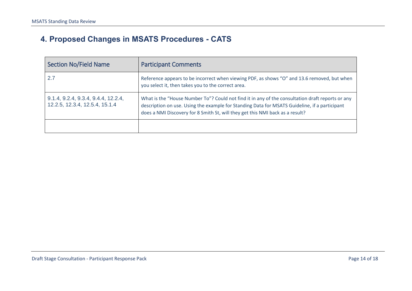# **4. Proposed Changes in MSATS Procedures - CATS**

| <b>Section No/Field Name</b>                                          | <b>Participant Comments</b>                                                                                                                                                                                                                                                        |
|-----------------------------------------------------------------------|------------------------------------------------------------------------------------------------------------------------------------------------------------------------------------------------------------------------------------------------------------------------------------|
| 2.7                                                                   | Reference appears to be incorrect when viewing PDF, as shows "O" and 13.6 removed, but when<br>you select it, then takes you to the correct area.                                                                                                                                  |
| 9.1.4, 9.2.4, 9.3.4, 9.4.4, 12.2.4,<br>12.2.5, 12.3.4, 12.5.4, 15.1.4 | What is the "House Number To"? Could not find it in any of the consultation draft reports or any<br>description on use. Using the example for Standing Data for MSATS Guideline, if a participant<br>does a NMI Discovery for 8 Smith St, will they get this NMI back as a result? |
|                                                                       |                                                                                                                                                                                                                                                                                    |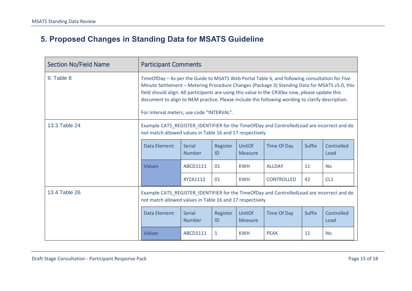# **5. Proposed Changes in Standing Data for MSATS Guideline**

| <b>Section No/Field Name</b> | <b>Participant Comments</b>                                                                                                                                                                                                                                                                                                                                                                                                                       |                         |                |                                 |                    |               |                    |
|------------------------------|---------------------------------------------------------------------------------------------------------------------------------------------------------------------------------------------------------------------------------------------------------------------------------------------------------------------------------------------------------------------------------------------------------------------------------------------------|-------------------------|----------------|---------------------------------|--------------------|---------------|--------------------|
| 9. Table 8                   | TimeOfDay - As per the Guide to MSATS Web Portal Table 6, and following consultation for Five<br>Minute Settlement – Metering Procedure Changes (Package 3) Standing Data for MSATS v5.0, this<br>field should align. All participants are using this value in the CR30xx now, please update this<br>document to align to NEM practice. Please include the following wording to clarify description.<br>For Interval meters, use code "INTERVAL". |                         |                |                                 |                    |               |                    |
| 13.3 Table 24                | Example CATS_REGISTER_IDENTIFIER for the TimeOfDay and ControlledLoad are incorrect and do<br>not match allowed values in Table 16 and 17 respectively                                                                                                                                                                                                                                                                                            |                         |                |                                 |                    |               |                    |
|                              | Data Element:                                                                                                                                                                                                                                                                                                                                                                                                                                     | Serial<br><b>Number</b> | Register<br>ID | UnitOf<br><b>Measure</b>        | <b>Time Of Day</b> | <b>Suffix</b> | Controlled<br>Load |
|                              | Values                                                                                                                                                                                                                                                                                                                                                                                                                                            | ABCD1111                | 01             | <b>KWH</b>                      | <b>ALLDAY</b>      | 11            | <b>No</b>          |
|                              |                                                                                                                                                                                                                                                                                                                                                                                                                                                   | <b>XYZA1112</b>         | 01             | <b>KWH</b>                      | <b>CONTROLLED</b>  | 42            | CL1                |
| 13.4 Table 26                | Example CATS_REGISTER_IDENTIFIER for the TimeOfDay and ControlledLoad are incorrect and do<br>not match allowed values in Table 16 and 17 respectively                                                                                                                                                                                                                                                                                            |                         |                |                                 |                    |               |                    |
|                              | Data Element:                                                                                                                                                                                                                                                                                                                                                                                                                                     | Serial<br><b>Number</b> | Register<br>ID | <b>UnitOf</b><br><b>Measure</b> | Time Of Day        | <b>Suffix</b> | Controlled<br>Load |
|                              | Values                                                                                                                                                                                                                                                                                                                                                                                                                                            | ABCD1111                | 1              | <b>KWH</b>                      | <b>PEAK</b>        | 11            | <b>No</b>          |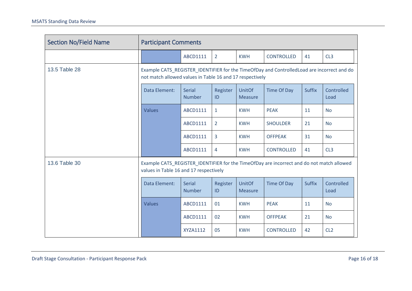| <b>Section No/Field Name</b> | <b>Participant Comments</b>                                                                                                                            |                                |                |                                 |                   |               |                    |
|------------------------------|--------------------------------------------------------------------------------------------------------------------------------------------------------|--------------------------------|----------------|---------------------------------|-------------------|---------------|--------------------|
|                              |                                                                                                                                                        | ABCD1111                       | $\overline{2}$ | <b>KWH</b>                      | <b>CONTROLLED</b> | 41            | CL3                |
| 13.5 Table 28                | Example CATS_REGISTER_IDENTIFIER for the TimeOfDay and ControlledLoad are incorrect and do<br>not match allowed values in Table 16 and 17 respectively |                                |                |                                 |                   |               |                    |
|                              | Data Element:                                                                                                                                          | <b>Serial</b><br><b>Number</b> | Register<br>ID | <b>UnitOf</b><br><b>Measure</b> | Time Of Day       | <b>Suffix</b> | Controlled<br>Load |
|                              | <b>Values</b>                                                                                                                                          | ABCD1111                       | $\mathbf{1}$   | <b>KWH</b>                      | <b>PEAK</b>       | 11            | <b>No</b>          |
|                              |                                                                                                                                                        | ABCD1111                       | $\overline{2}$ | <b>KWH</b>                      | <b>SHOULDER</b>   | 21            | <b>No</b>          |
|                              |                                                                                                                                                        | ABCD1111                       | 3              | <b>KWH</b>                      | <b>OFFPEAK</b>    | 31            | <b>No</b>          |
|                              |                                                                                                                                                        | ABCD1111                       | 4              | <b>KWH</b>                      | <b>CONTROLLED</b> | 41            | CL3                |
| 13.6 Table 30                | Example CATS_REGISTER_IDENTIFIER for the TimeOfDay are incorrect and do not match allowed<br>values in Table 16 and 17 respectively                    |                                |                |                                 |                   |               |                    |
|                              | Data Element:                                                                                                                                          | <b>Serial</b><br><b>Number</b> | Register<br>ID | <b>UnitOf</b><br><b>Measure</b> | Time Of Day       | <b>Suffix</b> | Controlled<br>Load |
|                              | <b>Values</b>                                                                                                                                          | ABCD1111                       | 01             | <b>KWH</b>                      | <b>PEAK</b>       | 11            | <b>No</b>          |
|                              |                                                                                                                                                        | ABCD1111                       | 02             | <b>KWH</b>                      | <b>OFFPEAK</b>    | 21            | <b>No</b>          |
|                              |                                                                                                                                                        | XYZA1112                       | 05             | <b>KWH</b>                      | <b>CONTROLLED</b> | 42            | CL <sub>2</sub>    |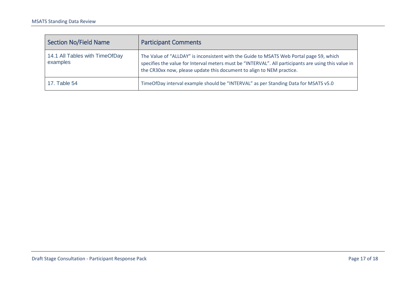| Section No/Field Name                      | <b>Participant Comments</b>                                                                                                                                                                                                                                              |
|--------------------------------------------|--------------------------------------------------------------------------------------------------------------------------------------------------------------------------------------------------------------------------------------------------------------------------|
| 14.1 All Tables with TimeOfDay<br>examples | The Value of "ALLDAY" is inconsistent with the Guide to MSATS Web Portal page 59, which<br>specifies the value for Interval meters must be "INTERVAL". All participants are using this value in<br>the CR30xx now, please update this document to align to NEM practice. |
| 17. Table $54$                             | TimeOfDay interval example should be "INTERVAL" as per Standing Data for MSATS v5.0                                                                                                                                                                                      |